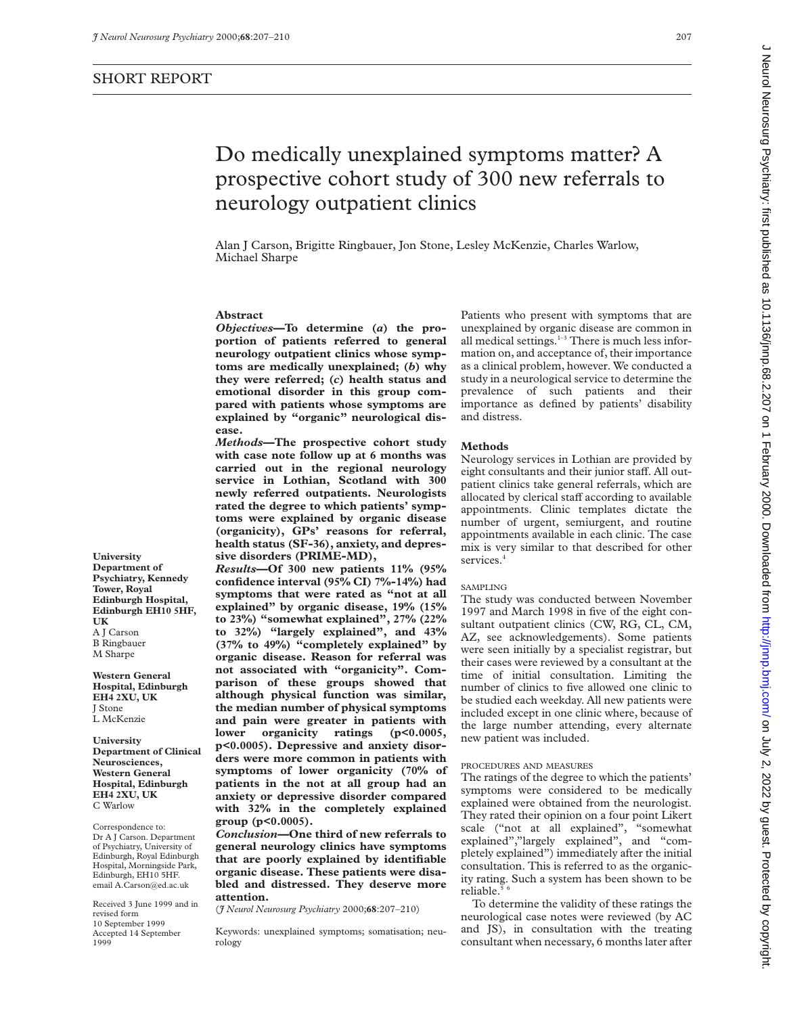# Do medically unexplained symptoms matter? A prospective cohort study of 300 new referrals to neurology outpatient clinics

Alan J Carson, Brigitte Ringbauer, Jon Stone, Lesley McKenzie, Charles Warlow, Michael Sharpe

## **Abstract**

*Objectives***—To determine (***a***) the proportion of patients referred to general neurology outpatient clinics whose symptoms are medically unexplained; (***b***) why they were referred; (***c***) health status and emotional disorder in this group compared with patients whose symptoms are explained by "organic" neurological disease.**

*Methods***—The prospective cohort study with case note follow up at 6 months was carried out in the regional neurology service in Lothian, Scotland with 300 newly referred outpatients. Neurologists rated the degree to which patients' symptoms were explained by organic disease (organicity), GPs' reasons for referral, health status (SF-36), anxiety, and depressive disorders (PRIME-MD),**

*Results***—Of 300 new patients 11% (95% confidence interval (95% CI) 7%-14%) had symptoms that were rated as "not at all explained" by organic disease, 19% (15% to 23%) "somewhat explained", 27% (22% to 32%) "largely explained", and 43% (37% to 49%) "completely explained" by organic disease. Reason for referral was not associated with "organicity". Comparison of these groups showed that although physical function was similar, the median number of physical symptoms and pain were greater in patients with lower organicity ratings (p<0.0005, p<0.0005). Depressive and anxiety disorders were more common in patients with symptoms of lower organicity (70% of patients in the not at all group had an anxiety or depressive disorder compared with 32% in the completely explained group (p<0.0005).**

*Conclusion—***One third of new referrals to general neurology clinics have symptoms that are poorly explained by identifiable organic disease. These patients were disabled and distressed. They deserve more attention.**

(*J Neurol Neurosurg Psychiatry* 2000;**68**:207–210)

Keywords: unexplained symptoms; somatisation; neurology

Patients who present with symptoms that are unexplained by organic disease are common in all medical settings. $1-3$  There is much less information on, and acceptance of, their importance as a clinical problem, however. We conducted a study in a neurological service to determine the prevalence of such patients and their importance as defined by patients' disability and distress.

## **Methods**

Neurology services in Lothian are provided by eight consultants and their junior staff. All outpatient clinics take general referrals, which are allocated by clerical staff according to available appointments. Clinic templates dictate the number of urgent, semiurgent, and routine appointments available in each clinic. The case mix is very similar to that described for other services.<sup>4</sup>

#### SAMPLING

The study was conducted between November 1997 and March 1998 in five of the eight consultant outpatient clinics (CW, RG, CL, CM, AZ, see acknowledgements). Some patients were seen initially by a specialist registrar, but their cases were reviewed by a consultant at the time of initial consultation. Limiting the number of clinics to five allowed one clinic to be studied each weekday. All new patients were included except in one clinic where, because of the large number attending, every alternate new patient was included.

#### PROCEDURES AND MEASURES

The ratings of the degree to which the patients' symptoms were considered to be medically explained were obtained from the neurologist. They rated their opinion on a four point Likert scale ("not at all explained", "somewhat explained","largely explained", and "completely explained") immediately after the initial consultation. This is referred to as the organicity rating. Such a system has been shown to be reliable.<sup>5</sup>

To determine the validity of these ratings the neurological case notes were reviewed (by AC and JS), in consultation with the treating consultant when necessary, 6 months later after

**University Department of Psychiatry, Kennedy Tower, Royal Edinburgh Hospital, Edinburgh EH10 5HF, UK** A J Carson B Ringbauer M Sharpe

**Western General Hospital, Edinburgh EH4 2XU, UK** J Stone L McKenzie

**University Department of Clinical Neurosciences, Western General Hospital, Edinburgh EH4 2XU, UK** C Warlow

Correspondence to: Dr A J Carson. Department of Psychiatry, University of Edinburgh, Royal Edinburgh Hospital, Morningside Park, Edinburgh, EH10 5HF. email A.Carson@ed.ac.uk

Received 3 June 1999 and in revised form 10 September 1999 Accepted 14 September 1000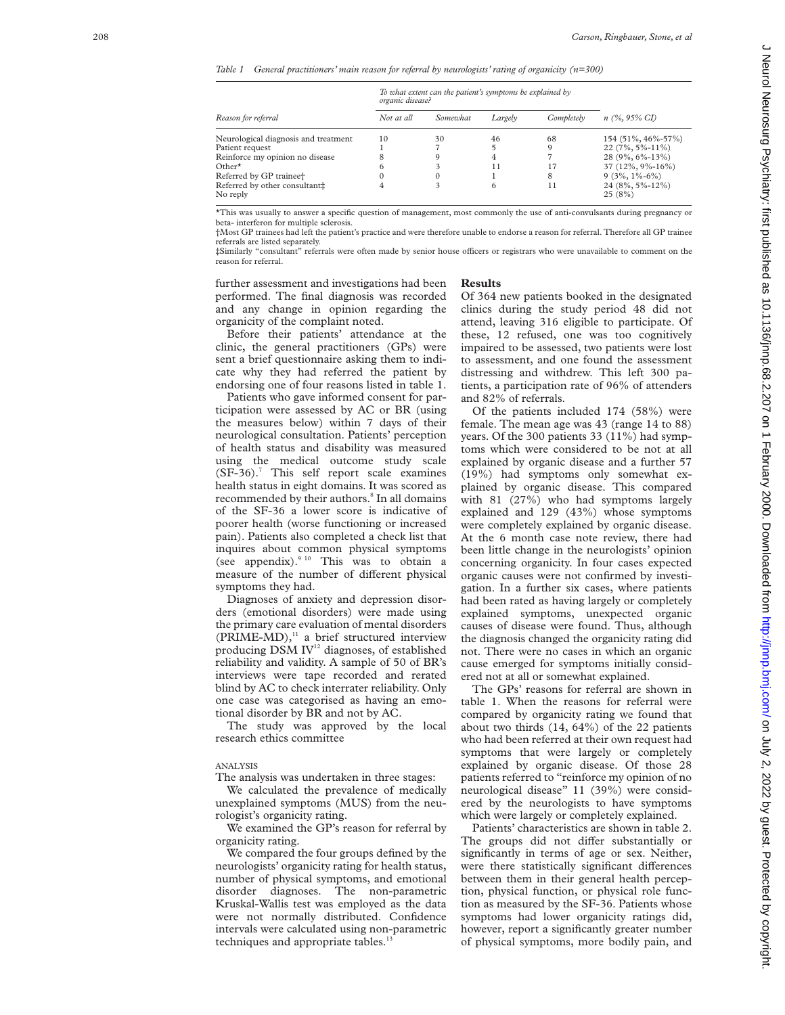*Table 1 General practitioners' main reason for referral by neurologists' rating of organicity (n=300)*

|                                           | To what extent can the patient's symptoms be explained by<br>organic disease? |          |         |            |                           |  |
|-------------------------------------------|-------------------------------------------------------------------------------|----------|---------|------------|---------------------------|--|
| Reason for referral                       | Not at all                                                                    | Somewhat | Largely | Completely | $n$ (%, 95% CI)           |  |
| Neurological diagnosis and treatment      | 10                                                                            | 30       | 46      | 68         | 154 (51%, 46%-57%)        |  |
| Patient request                           |                                                                               |          | 5       | 9          | $22(7\%, 5\% - 11\%)$     |  |
| Reinforce my opinion no disease           | 8                                                                             |          |         |            | $28(9\%, 6\% - 13\%)$     |  |
| $Other*$                                  | 6                                                                             |          | 11      | 17         | $37(12\%, 9\% - 16\%)$    |  |
| Referred by GP trainee <sup>+</sup>       | 0                                                                             | 0        |         | 8          | $9(3\%, 1\% - 6\%)$       |  |
| Referred by other consultant#<br>No reply | 4                                                                             |          | 6       | 11         | 24 (8%, 5%-12%)<br>25(8%) |  |

\*This was usually to answer a specific question of management, most commonly the use of anti-convulsants during pregnancy or beta- interferon for multiple sclerosis.

†Most GP trainees had left the patient's practice and were therefore unable to endorse a reason for referral. Therefore all GP trainee referrals are listed separately.

‡Similarly "consultant" referrals were often made by senior house officers or registrars who were unavailable to comment on the reason for referral.

further assessment and investigations had been performed. The final diagnosis was recorded and any change in opinion regarding the organicity of the complaint noted.

Before their patients' attendance at the clinic, the general practitioners (GPs) were sent a brief questionnaire asking them to indicate why they had referred the patient by endorsing one of four reasons listed in table 1.

Patients who gave informed consent for participation were assessed by AC or BR (using the measures below) within 7 days of their neurological consultation. Patients' perception of health status and disability was measured using the medical outcome study scale (SF-36). <sup>7</sup> This self report scale examines health status in eight domains. It was scored as recommended by their authors. <sup>8</sup> In all domains of the SF-36 a lower score is indicative of poorer health (worse functioning or increased pain). Patients also completed a check list that inquires about common physical symptoms (see appendix). $9^{10}$  This was to obtain a measure of the number of different physical symptoms they had.

Diagnoses of anxiety and depression disorders (emotional disorders) were made using the primary care evaluation of mental disorders  $(PRIME-MD)$ ,<sup>11</sup> a brief structured interview producing DSM IV<sup>12</sup> diagnoses, of established reliability and validity. A sample of 50 of BR's interviews were tape recorded and rerated blind by AC to check interrater reliability. Only one case was categorised as having an emotional disorder by BR and not by AC.

The study was approved by the local research ethics committee

## ANALYSIS

The analysis was undertaken in three stages: We calculated the prevalence of medically

unexplained symptoms (MUS) from the neurologist's organicity rating.

We examined the GP's reason for referral by organicity rating.

We compared the four groups defined by the neurologists' organicity rating for health status, number of physical symptoms, and emotional disorder diagnoses. The non-parametric Kruskal-Wallis test was employed as the data were not normally distributed. Confidence intervals were calculated using non-parametric techniques and appropriate tables.<sup>13</sup>

#### **Results**

Of 364 new patients booked in the designated clinics during the study period 48 did not attend, leaving 316 eligible to participate. Of these, 12 refused, one was too cognitively impaired to be assessed, two patients were lost to assessment, and one found the assessment distressing and withdrew. This left 300 patients, a participation rate of 96% of attenders and 82% of referrals.

Of the patients included 174 (58%) were female. The mean age was 43 (range 14 to 88) years. Of the 300 patients 33 (11%) had symptoms which were considered to be not at all explained by organic disease and a further 57 (19%) had symptoms only somewhat explained by organic disease. This compared with 81 (27%) who had symptoms largely explained and 129 (43%) whose symptoms were completely explained by organic disease. At the 6 month case note review, there had been little change in the neurologists' opinion concerning organicity. In four cases expected organic causes were not confirmed by investigation. In a further six cases, where patients had been rated as having largely or completely explained symptoms, unexpected organic causes of disease were found. Thus, although the diagnosis changed the organicity rating did not. There were no cases in which an organic cause emerged for symptoms initially considered not at all or somewhat explained.

The GPs' reasons for referral are shown in table 1. When the reasons for referral were compared by organicity rating we found that about two thirds (14, 64%) of the 22 patients who had been referred at their own request had symptoms that were largely or completely explained by organic disease. Of those 28 patients referred to "reinforce my opinion of no neurological disease" 11 (39%) were considered by the neurologists to have symptoms which were largely or completely explained.

Patients' characteristics are shown in table 2. The groups did not differ substantially or significantly in terms of age or sex. Neither, were there statistically significant differences between them in their general health perception, physical function, or physical role function as measured by the SF-36. Patients whose symptoms had lower organicity ratings did, however, report a significantly greater number of physical symptoms, more bodily pain, and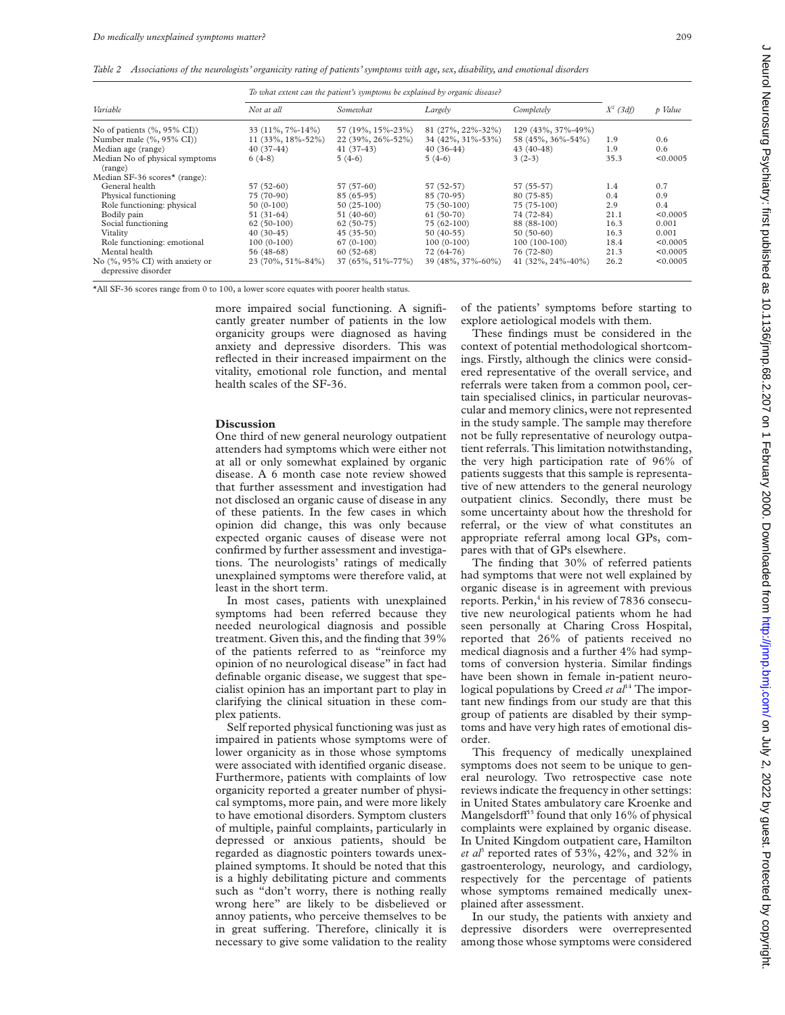*Table 2 Associations of the neurologists' organicity rating of patients' symptoms with age, sex, disability, and emotional disorders*

|                                                           | To what extent can the patient's symptoms be explained by organic disease? |                         |                   |                    |             |          |
|-----------------------------------------------------------|----------------------------------------------------------------------------|-------------------------|-------------------|--------------------|-------------|----------|
| Variable                                                  | Not at all                                                                 | Somewhat                | Largely           | Completely         | $X^2$ (3df) | p Value  |
| No of patients $(\%$ , 95% CI)                            | 33 $(11\%, 7\% - 14\%)$                                                    | 57 (19%, 15%-23%)       | 81 (27%, 22%-32%) | 129 (43%, 37%-49%) |             |          |
| Number male $(\%$ , 95% CI)                               | $11(33\%, 18\% - 52\%)$                                                    | $22(39\%, 26\% - 52\%)$ | 34 (42%, 31%-53%) | 58 (45%, 36%-54%)  | 1.9         | 0.6      |
| Median age (range)                                        | $40(37-44)$                                                                | $41(37-43)$             | $40(36-44)$       | $43(40-48)$        | 1.9         | 0.6      |
| Median No of physical symptoms<br>(range)                 | $6(4-8)$                                                                   | $5(4-6)$                | $5(4-6)$          | $3(2-3)$           | 35.3        | < 0.0005 |
| Median SF-36 scores <sup>*</sup> (range):                 |                                                                            |                         |                   |                    |             |          |
| General health                                            | $57(52-60)$                                                                | 57 (57-60)              | 57 (52-57)        | 57 (55-57)         | 1.4         | 0.7      |
| Physical functioning                                      | 75 (70-90)                                                                 | $85(65-95)$             | 85 (70-95)        | $80(75-85)$        | 0.4         | 0.9      |
| Role functioning: physical                                | $50(0-100)$                                                                | $50(25-100)$            | $75(50-100)$      | $75(75-100)$       | 2.9         | 0.4      |
| Bodily pain                                               | $51(31-64)$                                                                | $51(40-60)$             | $61(50-70)$       | 74 (72-84)         | 21.1        | < 0.0005 |
| Social functioning                                        | $62(50-100)$                                                               | $62(50-75)$             | $75(62-100)$      | 88 (88-100)        | 16.3        | 0.001    |
| Vitality                                                  | $40(30-45)$                                                                | $45(35-50)$             | $50(40-55)$       | $50(50-60)$        | 16.3        | 0.001    |
| Role functioning: emotional                               | $100(0-100)$                                                               | $67(0-100)$             | $100(0-100)$      | $100(100-100)$     | 18.4        | < 0.0005 |
| Mental health                                             | 56 (48-68)                                                                 | $60(52-68)$             | $72(64-76)$       | $76(72-80)$        | 21.3        | < 0.0005 |
| No $(\%$ , 95% CI) with anxiety or<br>depressive disorder | $23(70\%, 51\% - 84\%)$                                                    | 37 (65%, 51%-77%)       | 39 (48%, 37%-60%) | 41 (32%, 24%-40%)  | 26.2        | < 0.0005 |

\*All SF-36 scores range from 0 to 100, a lower score equates with poorer health status.

more impaired social functioning. A significantly greater number of patients in the low organicity groups were diagnosed as having anxiety and depressive disorders. This was reflected in their increased impairment on the vitality, emotional role function, and mental health scales of the SF-36.

## **Discussion**

One third of new general neurology outpatient attenders had symptoms which were either not at all or only somewhat explained by organic disease. A 6 month case note review showed that further assessment and investigation had not disclosed an organic cause of disease in any of these patients. In the few cases in which opinion did change, this was only because expected organic causes of disease were not confirmed by further assessment and investigations. The neurologists' ratings of medically unexplained symptoms were therefore valid, at least in the short term.

In most cases, patients with unexplained symptoms had been referred because they needed neurological diagnosis and possible treatment. Given this, and the finding that 39% of the patients referred to as "reinforce my opinion of no neurological disease" in fact had definable organic disease, we suggest that specialist opinion has an important part to play in clarifying the clinical situation in these complex patients.

Self reported physical functioning was just as impaired in patients whose symptoms were of lower organicity as in those whose symptoms were associated with identified organic disease. Furthermore, patients with complaints of low organicity reported a greater number of physical symptoms, more pain, and were more likely to have emotional disorders. Symptom clusters of multiple, painful complaints, particularly in depressed or anxious patients, should be regarded as diagnostic pointers towards unexplained symptoms. It should be noted that this is a highly debilitating picture and comments such as "don't worry, there is nothing really wrong here" are likely to be disbelieved or annoy patients, who perceive themselves to be in great suffering. Therefore, clinically it is necessary to give some validation to the reality

of the patients' symptoms before starting to explore aetiological models with them.

These findings must be considered in the context of potential methodological shortcomings. Firstly, although the clinics were considered representative of the overall service, and referrals were taken from a common pool, certain specialised clinics, in particular neurovascular and memory clinics, were not represented in the study sample. The sample may therefore not be fully representative of neurology outpatient referrals. This limitation notwithstanding, the very high participation rate of 96% of patients suggests that this sample is representative of new attenders to the general neurology outpatient clinics. Secondly, there must be some uncertainty about how the threshold for referral, or the view of what constitutes an appropriate referral among local GPs, compares with that of GPs elsewhere.

The finding that 30% of referred patients had symptoms that were not well explained by organic disease is in agreement with previous reports. Perkin, $4$  in his review of 7836 consecutive new neurological patients whom he had seen personally at Charing Cross Hospital, reported that 26% of patients received no medical diagnosis and a further 4% had symptoms of conversion hysteria. Similar findings have been shown in female in-patient neurological populations by Creed et al<sup>14</sup> The important new findings from our study are that this group of patients are disabled by their symptoms and have very high rates of emotional disorder.

This frequency of medically unexplained symptoms does not seem to be unique to general neurology. Two retrospective case note reviews indicate the frequency in other settings: in United States ambulatory care Kroenke and Mangelsdorff<sup>15</sup> found that only  $16\%$  of physical complaints were explained by organic disease. In United Kingdom outpatient care, Hamilton *et al<sup>3</sup>* reported rates of 53%, 42%, and 32% in gastroenterology, neurology, and cardiology, respectively for the percentage of patients whose symptoms remained medically unexplained after assessment.

In our study, the patients with anxiety and depressive disorders were overrepresented among those whose symptoms were considered